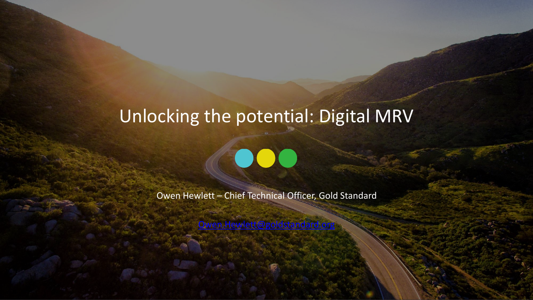# Unlocking the potential: Digital MRV

Owen Hewlett – Chief Technical Officer, Gold Standard

[Owen.Hewlett@goldstandard.org](mailto:Owen.Hewlett@goldstandard.org)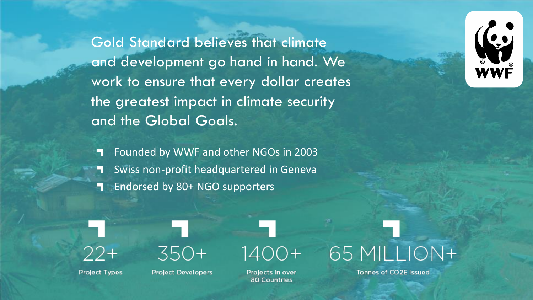Gold Standard believes that climate and development go hand in hand. We work to ensure that every dollar creates the greatest impact in climate security and the Global Goals.



Founded by WWF and other NGOs in 2003 Swiss non-profit headquartered in Geneva Endorsed by 80+ NGO supporters



**Project Types** 



**Project Developers** 



**Projects In over 80 Countries** 



**Tonnes of CO2E Issued**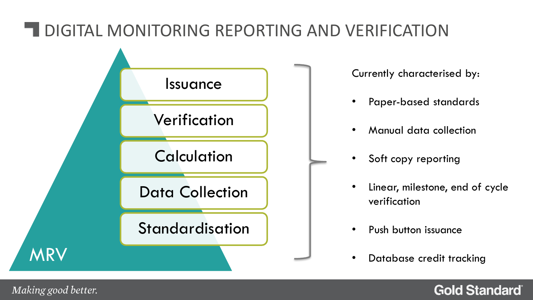## **TEDIGITAL MONITORING REPORTING AND VERIFICATION**



Making good better.

#### **Gold Standard**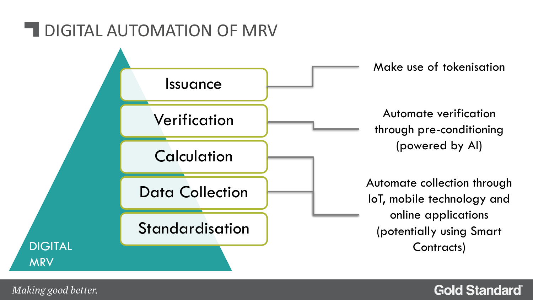### **TEDIGITAL AUTOMATION OF MRV**



Making good better.

#### **Gold Standard**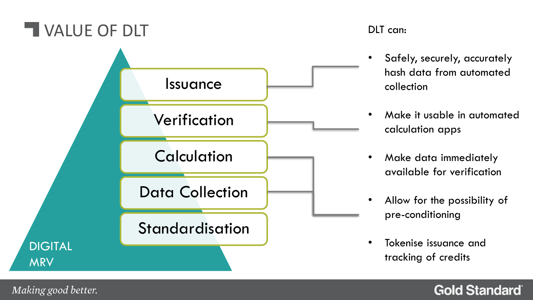

DLT can:

- Safely, securely, accurately hash data from automated collection
- Make it usable in automated calculation apps
- Make data immediately available for verification
- Allow for the possibility of pre-conditioning
- Tokenise issuance and tracking of credits

#### **Gold Standard**

Making good better.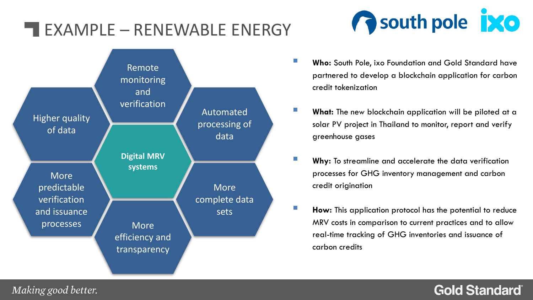### **EXAMPLE – RENEWABLE ENERGY**





- **Who:** South Pole, ixo Foundation and Gold Standard have partnered to develop a blockchain application for carbon credit tokenization
- **E** What: The new blockchain application will be piloted at a solar PV project in Thailand to monitor, report and verify greenhouse gases
- **Why:** To streamline and accelerate the data verification processes for GHG inventory management and carbon credit origination
- **How:** This application protocol has the potential to reduce MRV costs in comparison to current practices and to allow real-time tracking of GHG inventories and issuance of carbon credits

#### **Gold Standard**®

Making good better.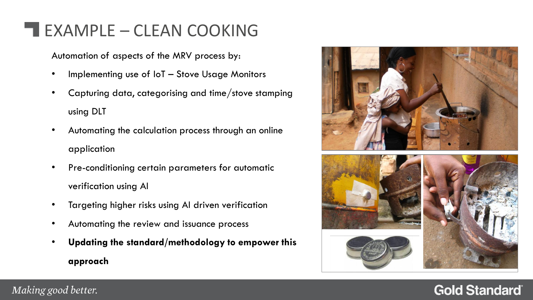### **EXAMPLE – CLEAN COOKING**

Automation of aspects of the MRV process by:

- Implementing use of IoT Stove Usage Monitors
- Capturing data, categorising and time/stove stamping using DLT
- Automating the calculation process through an online application
- Pre-conditioning certain parameters for automatic verification using AI
- Targeting higher risks using AI driven verification
- Automating the review and issuance process
- **Updating the standard/methodology to empower this approach**



#### **Gold Standard**®

#### Making good better.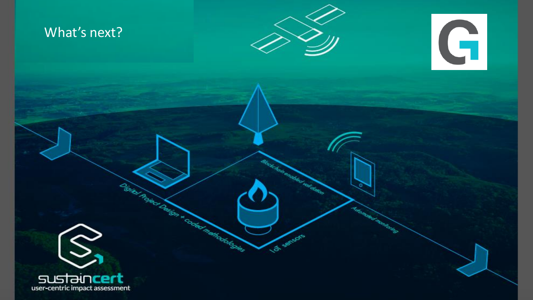### What's next?



to kommerken om tidligeren.<br>S

La servors

**Luciana Francisco** 





District Rates Delta & Context Presidents and

SUST DUCELL